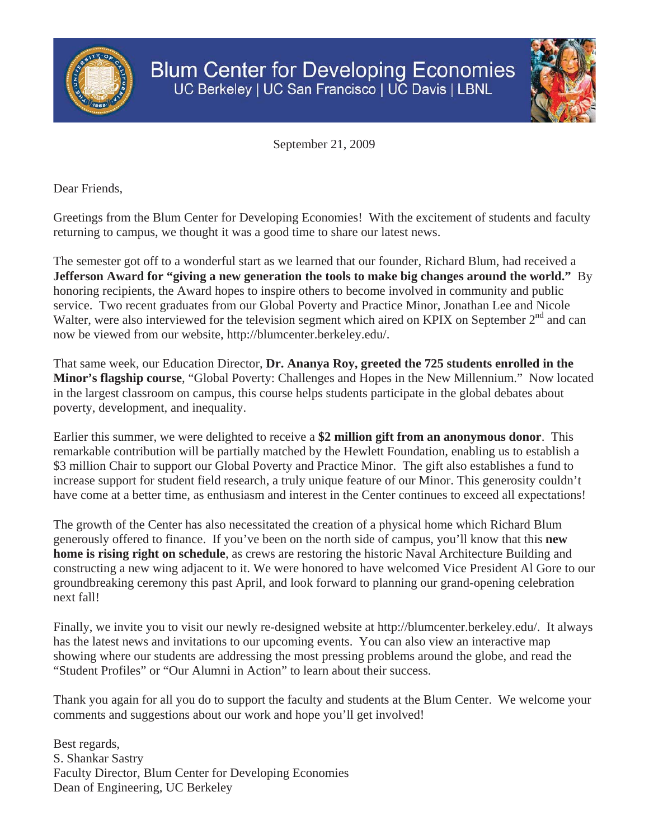



September 21, 2009

Dear Friends,

Greetings from the Blum Center for Developing Economies! With the excitement of students and faculty returning to campus, we thought it was a good time to share our latest news.

The semester got off to a wonderful start as we learned that our founder, Richard Blum, had received a **Jefferson Award for "giving a new generation the tools to make big changes around the world."** By honoring recipients, the Award hopes to inspire others to become involved in community and public service. Two recent graduates from our Global Poverty and Practice Minor, Jonathan Lee and Nicole Walter, were also interviewed for the television segment which aired on KPIX on September 2<sup>nd</sup> and can now be viewed from our website, http://blumcenter.berkeley.edu/.

That same week, our Education Director, **Dr. Ananya Roy, greeted the 725 students enrolled in the Minor's flagship course**, "Global Poverty: Challenges and Hopes in the New Millennium." Now located in the largest classroom on campus, this course helps students participate in the global debates about poverty, development, and inequality.

Earlier this summer, we were delighted to receive a **\$2 million gift from an anonymous donor**. This remarkable contribution will be partially matched by the Hewlett Foundation, enabling us to establish a \$3 million Chair to support our Global Poverty and Practice Minor. The gift also establishes a fund to increase support for student field research, a truly unique feature of our Minor. This generosity couldn't have come at a better time, as enthusiasm and interest in the Center continues to exceed all expectations!

The growth of the Center has also necessitated the creation of a physical home which Richard Blum generously offered to finance. If you've been on the north side of campus, you'll know that this **new home is rising right on schedule**, as crews are restoring the historic Naval Architecture Building and constructing a new wing adjacent to it. We were honored to have welcomed Vice President Al Gore to our groundbreaking ceremony this past April, and look forward to planning our grand-opening celebration next fall!

Finally, we invite you to visit our newly re-designed website at http://blumcenter.berkeley.edu/. It always has the latest news and invitations to our upcoming events. You can also view an interactive map showing where our students are addressing the most pressing problems around the globe, and read the "Student Profiles" or "Our Alumni in Action" to learn about their success.

Thank you again for all you do to support the faculty and students at the Blum Center. We welcome your comments and suggestions about our work and hope you'll get involved!

Best regards, S. Shankar Sastry Faculty Director, Blum Center for Developing Economies Dean of Engineering, UC Berkeley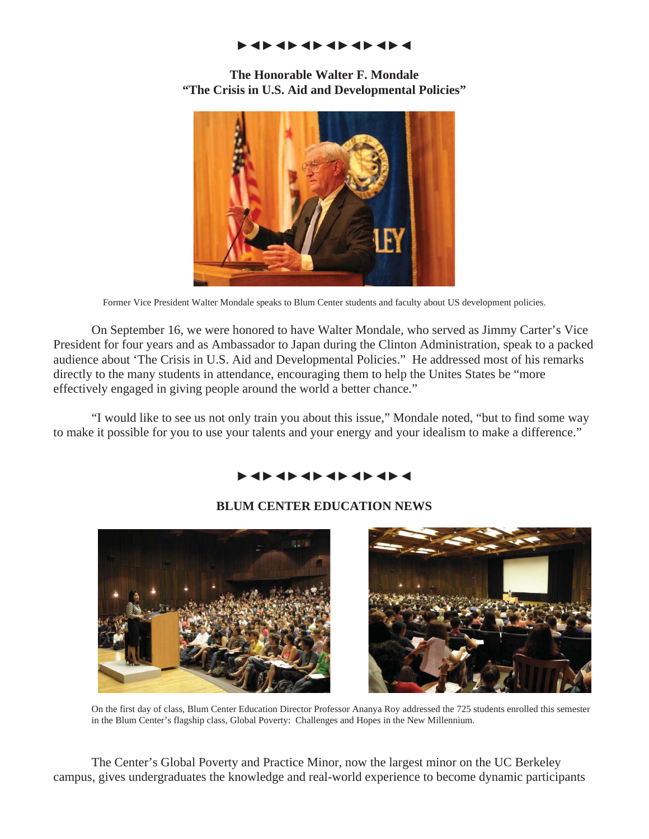#### ŹŻŹŻŹŻŹŻŹŻŹŻŹŻ

**The Honorable Walter F. Mondale "The Crisis in U.S. Aid and Developmental Policies"** 



Former Vice President Walter Mondale speaks to Blum Center students and faculty about US development policies.

 On September 16, we were honored to have Walter Mondale, who served as Jimmy Carter's Vice President for four years and as Ambassador to Japan during the Clinton Administration, speak to a packed audience about 'The Crisis in U.S. Aid and Developmental Policies." He addressed most of his remarks directly to the many students in attendance, encouraging them to help the Unites States be "more effectively engaged in giving people around the world a better chance."

 "I would like to see us not only train you about this issue," Mondale noted, "but to find some way to make it possible for you to use your talents and your energy and your idealism to make a difference."

# ŹŻŹŻŹŻŹŻŹŻŹŻŹŻ

### **BLUM CENTER EDUCATION NEWS**



 On the first day of class, Blum Center Education Director Professor Ananya Roy addressed the 725 students enrolled this semester in the Blum Center's flagship class, Global Poverty: Challenges and Hopes in the New Millennium.

 The Center's Global Poverty and Practice Minor, now the largest minor on the UC Berkeley campus, gives undergraduates the knowledge and real-world experience to become dynamic participants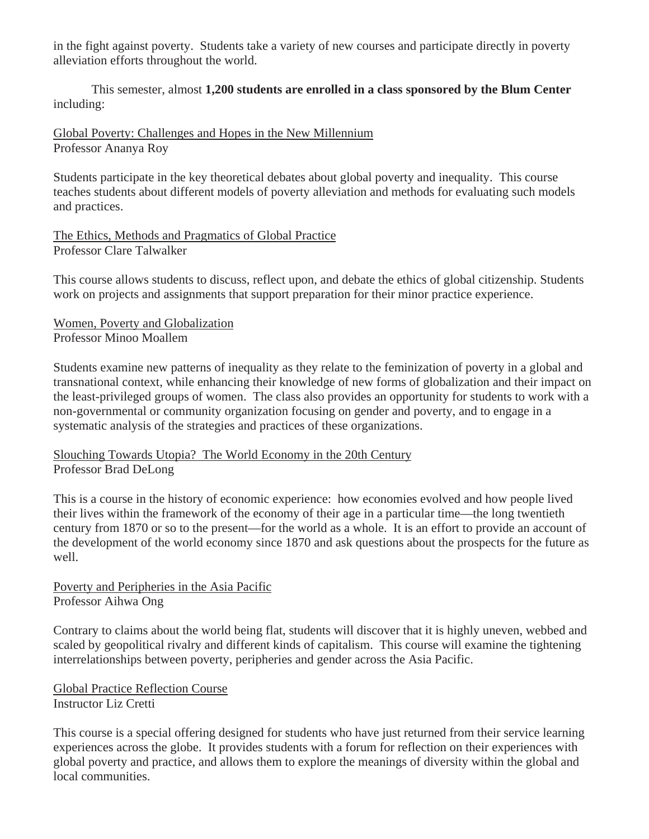in the fight against poverty. Students take a variety of new courses and participate directly in poverty alleviation efforts throughout the world.

 This semester, almost **1,200 students are enrolled in a class sponsored by the Blum Center** including:

Global Poverty: Challenges and Hopes in the New Millennium Professor Ananya Roy

Students participate in the key theoretical debates about global poverty and inequality. This course teaches students about different models of poverty alleviation and methods for evaluating such models and practices.

The Ethics, Methods and Pragmatics of Global Practice Professor Clare Talwalker

This course allows students to discuss, reflect upon, and debate the ethics of global citizenship. Students work on projects and assignments that support preparation for their minor practice experience.

Women, Poverty and Globalization Professor Minoo Moallem

Students examine new patterns of inequality as they relate to the feminization of poverty in a global and transnational context, while enhancing their knowledge of new forms of globalization and their impact on the least-privileged groups of women. The class also provides an opportunity for students to work with a non-governmental or community organization focusing on gender and poverty, and to engage in a systematic analysis of the strategies and practices of these organizations.

### Slouching Towards Utopia? The World Economy in the 20th Century Professor Brad DeLong

This is a course in the history of economic experience: how economies evolved and how people lived their lives within the framework of the economy of their age in a particular time—the long twentieth century from 1870 or so to the present—for the world as a whole. It is an effort to provide an account of the development of the world economy since 1870 and ask questions about the prospects for the future as well.

Poverty and Peripheries in the Asia Pacific Professor Aihwa Ong

Contrary to claims about the world being flat, students will discover that it is highly uneven, webbed and scaled by geopolitical rivalry and different kinds of capitalism. This course will examine the tightening interrelationships between poverty, peripheries and gender across the Asia Pacific.

Global Practice Reflection Course Instructor Liz Cretti

This course is a special offering designed for students who have just returned from their service learning experiences across the globe. It provides students with a forum for reflection on their experiences with global poverty and practice, and allows them to explore the meanings of diversity within the global and local communities.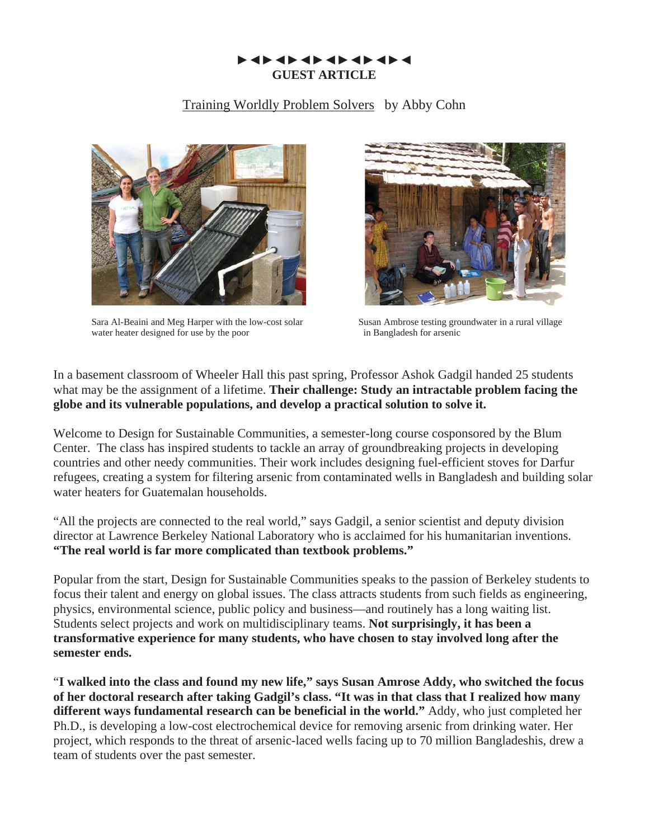## z ZZ ZZ ZZ Z **GUEST ARTICLE**

### Training Worldly Problem Solvers by Abby Cohn



Sara Al-Beaini and Meg Harper with the low-cost solar Susan Ambrose testing groundwater in a rural village water heater designed for use by the poor in Bangladesh for arsenic



In a basement classroom of Wheeler Hall this past spring, Professor Ashok Gadgil handed 25 students what may be the assignment of a lifetime. **Their challenge: Study an intractable problem facing the globe and its vulnerable populations, and develop a practical solution to solve it.** 

Welcome to Design for Sustainable Communities, a semester-long course cosponsored by the Blum Center. The class has inspired students to tackle an array of groundbreaking projects in developing countries and other needy communities. Their work includes designing fuel-efficient stoves for Darfur refugees, creating a system for filtering arsenic from contaminated wells in Bangladesh and building solar water heaters for Guatemalan households.

"All the projects are connected to the real world," says Gadgil, a senior scientist and deputy division director at Lawrence Berkeley National Laboratory who is acclaimed for his humanitarian inventions. **"The real world is far more complicated than textbook problems."** 

Popular from the start, Design for Sustainable Communities speaks to the passion of Berkeley students to focus their talent and energy on global issues. The class attracts students from such fields as engineering, physics, environmental science, public policy and business—and routinely has a long waiting list. Students select projects and work on multidisciplinary teams. **Not surprisingly, it has been a transformative experience for many students, who have chosen to stay involved long after the semester ends.**

"**I walked into the class and found my new life," says Susan Amrose Addy, who switched the focus of her doctoral research after taking Gadgil's class. "It was in that class that I realized how many different ways fundamental research can be beneficial in the world."** Addy, who just completed her Ph.D., is developing a low-cost electrochemical device for removing arsenic from drinking water. Her project, which responds to the threat of arsenic-laced wells facing up to 70 million Bangladeshis, drew a team of students over the past semester.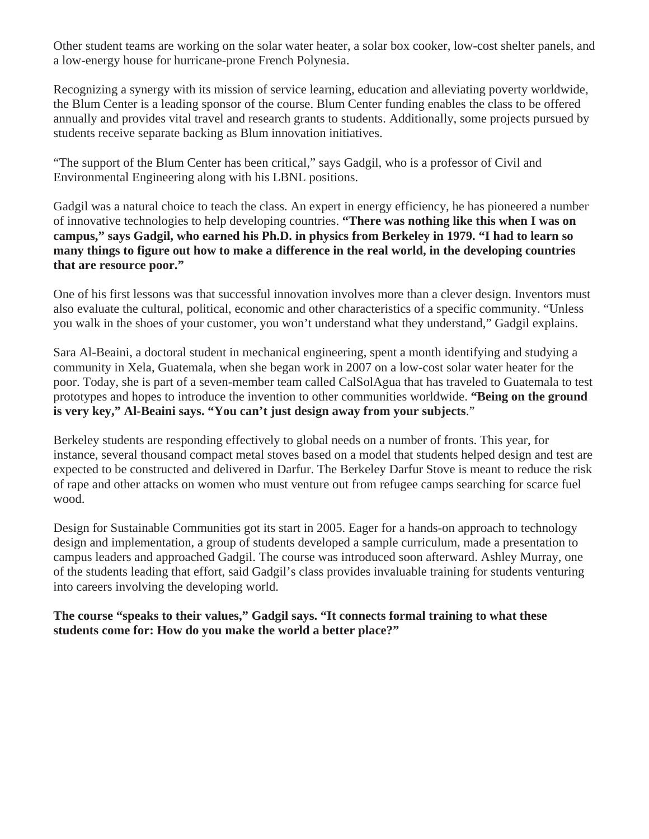Other student teams are working on the solar water heater, a solar box cooker, low-cost shelter panels, and a low-energy house for hurricane-prone French Polynesia.

Recognizing a synergy with its mission of service learning, education and alleviating poverty worldwide, the Blum Center is a leading sponsor of the course. Blum Center funding enables the class to be offered annually and provides vital travel and research grants to students. Additionally, some projects pursued by students receive separate backing as Blum innovation initiatives.

"The support of the Blum Center has been critical," says Gadgil, who is a professor of Civil and Environmental Engineering along with his LBNL positions.

Gadgil was a natural choice to teach the class. An expert in energy efficiency, he has pioneered a number of innovative technologies to help developing countries. **"There was nothing like this when I was on campus," says Gadgil, who earned his Ph.D. in physics from Berkeley in 1979. "I had to learn so many things to figure out how to make a difference in the real world, in the developing countries that are resource poor."** 

One of his first lessons was that successful innovation involves more than a clever design. Inventors must also evaluate the cultural, political, economic and other characteristics of a specific community. "Unless you walk in the shoes of your customer, you won't understand what they understand," Gadgil explains.

Sara Al-Beaini, a doctoral student in mechanical engineering, spent a month identifying and studying a community in Xela, Guatemala, when she began work in 2007 on a low-cost solar water heater for the poor. Today, she is part of a seven-member team called CalSolAgua that has traveled to Guatemala to test prototypes and hopes to introduce the invention to other communities worldwide. **"Being on the ground is very key," Al-Beaini says. "You can't just design away from your subjects**."

Berkeley students are responding effectively to global needs on a number of fronts. This year, for instance, several thousand compact metal stoves based on a model that students helped design and test are expected to be constructed and delivered in Darfur. The Berkeley Darfur Stove is meant to reduce the risk of rape and other attacks on women who must venture out from refugee camps searching for scarce fuel wood.

Design for Sustainable Communities got its start in 2005. Eager for a hands-on approach to technology design and implementation, a group of students developed a sample curriculum, made a presentation to campus leaders and approached Gadgil. The course was introduced soon afterward. Ashley Murray, one of the students leading that effort, said Gadgil's class provides invaluable training for students venturing into careers involving the developing world.

**The course "speaks to their values," Gadgil says. "It connects formal training to what these students come for: How do you make the world a better place?"**